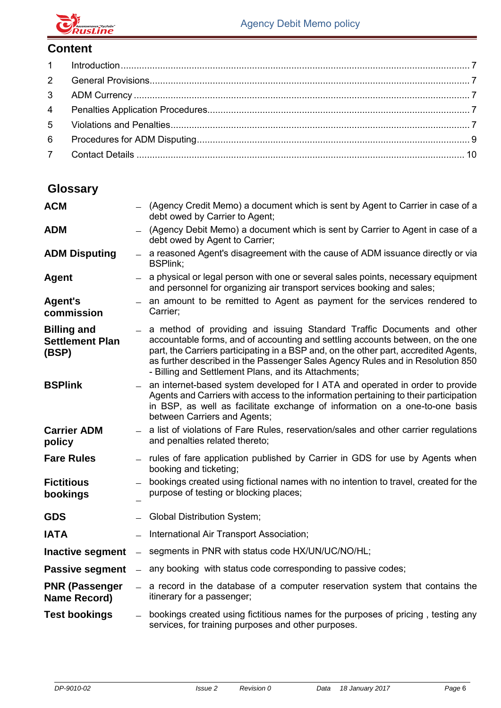

## **Content**

| 6 |  |
|---|--|
|   |  |

| <b>ACM</b>                                            |            | - (Agency Credit Memo) a document which is sent by Agent to Carrier in case of a<br>debt owed by Carrier to Agent;                                                                                                                                                                                                                                                                           |
|-------------------------------------------------------|------------|----------------------------------------------------------------------------------------------------------------------------------------------------------------------------------------------------------------------------------------------------------------------------------------------------------------------------------------------------------------------------------------------|
| <b>ADM</b>                                            |            | - (Agency Debit Memo) a document which is sent by Carrier to Agent in case of a<br>debt owed by Agent to Carrier;                                                                                                                                                                                                                                                                            |
| <b>ADM Disputing</b>                                  |            | - a reasoned Agent's disagreement with the cause of ADM issuance directly or via<br><b>BSPlink;</b>                                                                                                                                                                                                                                                                                          |
| <b>Agent</b>                                          |            | $-$ a physical or legal person with one or several sales points, necessary equipment<br>and personnel for organizing air transport services booking and sales;                                                                                                                                                                                                                               |
| <b>Agent's</b><br>commission                          |            | - an amount to be remitted to Agent as payment for the services rendered to<br>Carrier;                                                                                                                                                                                                                                                                                                      |
| <b>Billing and</b><br><b>Settlement Plan</b><br>(BSP) |            | - a method of providing and issuing Standard Traffic Documents and other<br>accountable forms, and of accounting and settling accounts between, on the one<br>part, the Carriers participating in a BSP and, on the other part, accredited Agents,<br>as further described in the Passenger Sales Agency Rules and in Resolution 850<br>- Billing and Settlement Plans, and its Attachments; |
| <b>BSPlink</b>                                        |            | $-$ an internet-based system developed for I ATA and operated in order to provide<br>Agents and Carriers with access to the information pertaining to their participation<br>in BSP, as well as facilitate exchange of information on a one-to-one basis<br>between Carriers and Agents;                                                                                                     |
| <b>Carrier ADM</b><br>policy                          |            | - a list of violations of Fare Rules, reservation/sales and other carrier regulations<br>and penalties related thereto;                                                                                                                                                                                                                                                                      |
| <b>Fare Rules</b>                                     |            | - rules of fare application published by Carrier in GDS for use by Agents when<br>booking and ticketing;                                                                                                                                                                                                                                                                                     |
| <b>Fictitious</b><br>bookings                         |            | bookings created using fictional names with no intention to travel, created for the<br>purpose of testing or blocking places;                                                                                                                                                                                                                                                                |
| <b>GDS</b>                                            |            | - Global Distribution System;                                                                                                                                                                                                                                                                                                                                                                |
| <b>IATA</b>                                           |            | International Air Transport Association;                                                                                                                                                                                                                                                                                                                                                     |
| <b>Inactive segment</b>                               | $\sim$ $-$ | segments in PNR with status code HX/UN/UC/NO/HL;                                                                                                                                                                                                                                                                                                                                             |
| <b>Passive segment</b>                                |            | $-$ any booking with status code corresponding to passive codes;                                                                                                                                                                                                                                                                                                                             |
| <b>PNR (Passenger</b><br><b>Name Record)</b>          |            | $-$ a record in the database of a computer reservation system that contains the<br>itinerary for a passenger;                                                                                                                                                                                                                                                                                |
| <b>Test bookings</b>                                  |            | bookings created using fictitious names for the purposes of pricing, testing any<br>services, for training purposes and other purposes.                                                                                                                                                                                                                                                      |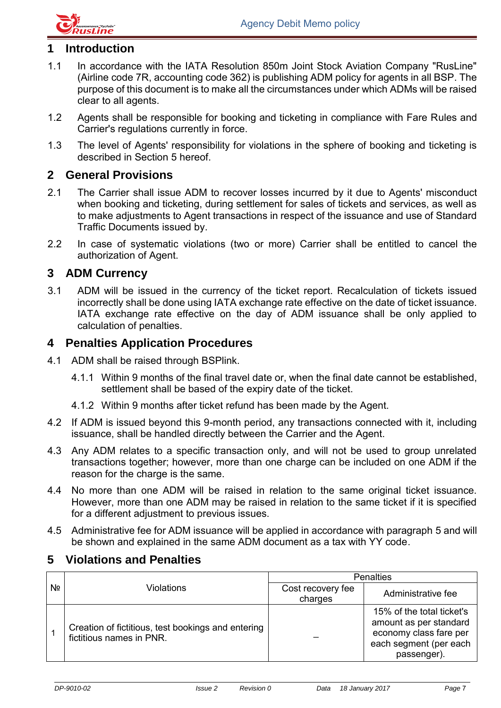

## <span id="page-1-0"></span>**1 Introduction**

- 1.1 In accordance with the IATA Resolution 850m Joint Stock Aviation Company "RusLine" (Airline code 7R, accounting code 362) is publishing ADM policy for agents in all BSP. The purpose of this document is to make all the circumstances under which ADMs will be raised clear to all agents.
- 1.2 Agents shall be responsible for booking and ticketing in compliance with Fare Rules and Carrier's regulations currently in force.
- 1.3 The level of Agents' responsibility for violations in the sphere of booking and ticketing is described in Section 5 hereof.

#### <span id="page-1-1"></span>**2 General Provisions**

- 2.1 The Carrier shall issue ADM to recover losses incurred by it due to Agents' misconduct when booking and ticketing, during settlement for sales of tickets and services, as well as to make adjustments to Agent transactions in respect of the issuance and use of Standard Traffic Documents issued by.
- 2.2 In case of systematic violations (two or more) Carrier shall be entitled to cancel the authorization of Agent.

#### <span id="page-1-2"></span>**3 ADM Currency**

3.1 ADM will be issued in the currency of the ticket report. Recalculation of tickets issued incorrectly shall be done using IATA exchange rate effective on the date of ticket issuance. IATA exchange rate effective on the day of ADM issuance shall be only applied to calculation of penalties.

### <span id="page-1-3"></span>**4 Penalties Application Procedures**

- 4.1 ADM shall be raised through BSPlink.
	- 4.1.1 Within 9 months of the final travel date or, when the final date cannot be established, settlement shall be based of the expiry date of the ticket.
	- 4.1.2 Within 9 months after ticket refund has been made by the Agent.
- 4.2 If ADM is issued beyond this 9-month period, any transactions connected with it, including issuance, shall be handled directly between the Carrier and the Agent.
- 4.3 Any ADM relates to a specific transaction only, and will not be used to group unrelated transactions together; however, more than one charge can be included on one ADM if the reason for the charge is the same.
- 4.4 No more than one ADM will be raised in relation to the same original ticket issuance. However, more than one ADM may be raised in relation to the same ticket if it is specified for a different adjustment to previous issues.
- 4.5 Administrative fee for ADM issuance will be applied in accordance with paragraph 5 and will be shown and explained in the same ADM document as a tax with YY code.

### <span id="page-1-4"></span>**5 Violations and Penalties**

|    |                                                                                | <b>Penalties</b>             |                                                                                                                        |  |
|----|--------------------------------------------------------------------------------|------------------------------|------------------------------------------------------------------------------------------------------------------------|--|
| Nº | Violations                                                                     | Cost recovery fee<br>charges | Administrative fee                                                                                                     |  |
|    | Creation of fictitious, test bookings and entering<br>fictitious names in PNR. |                              | 15% of the total ticket's<br>amount as per standard<br>economy class fare per<br>each segment (per each<br>passenger). |  |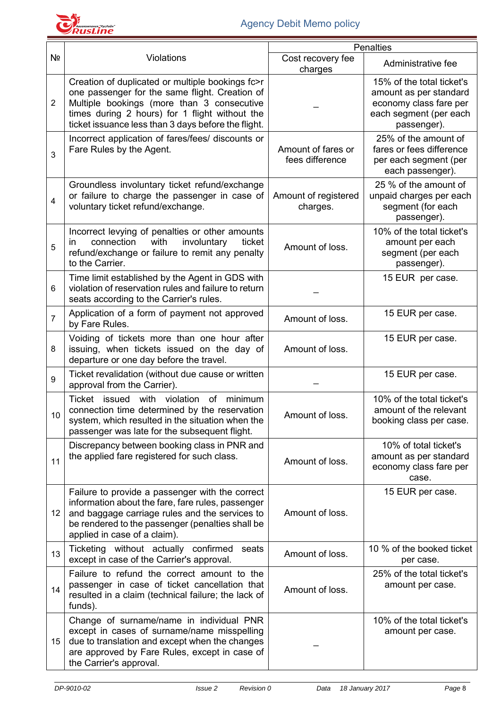

|                 |                                                                                                                                                                                                                                                           | <b>Penalties</b>                      |                                                                                                                        |  |
|-----------------|-----------------------------------------------------------------------------------------------------------------------------------------------------------------------------------------------------------------------------------------------------------|---------------------------------------|------------------------------------------------------------------------------------------------------------------------|--|
| Nº              | <b>Violations</b>                                                                                                                                                                                                                                         | Cost recovery fee<br>charges          | Administrative fee                                                                                                     |  |
| $\overline{2}$  | Creation of duplicated or multiple bookings fc>r<br>one passenger for the same flight. Creation of<br>Multiple bookings (more than 3 consecutive<br>times during 2 hours) for 1 flight without the<br>ticket issuance less than 3 days before the flight. |                                       | 15% of the total ticket's<br>amount as per standard<br>economy class fare per<br>each segment (per each<br>passenger). |  |
| 3               | Incorrect application of fares/fees/ discounts or<br>Fare Rules by the Agent.                                                                                                                                                                             | Amount of fares or<br>fees difference | 25% of the amount of<br>fares or fees difference<br>per each segment (per<br>each passenger).                          |  |
| 4               | Groundless involuntary ticket refund/exchange<br>or failure to charge the passenger in case of<br>voluntary ticket refund/exchange.                                                                                                                       | Amount of registered<br>charges.      | 25 % of the amount of<br>unpaid charges per each<br>segment (for each<br>passenger).                                   |  |
| 5               | Incorrect levying of penalties or other amounts<br>connection<br>involuntary<br>ticket<br>with<br><i>in</i><br>refund/exchange or failure to remit any penalty<br>to the Carrier.                                                                         | Amount of loss.                       | 10% of the total ticket's<br>amount per each<br>segment (per each<br>passenger).                                       |  |
| 6               | Time limit established by the Agent in GDS with<br>violation of reservation rules and failure to return<br>seats according to the Carrier's rules.                                                                                                        |                                       | 15 EUR per case.                                                                                                       |  |
| $\overline{7}$  | Application of a form of payment not approved<br>by Fare Rules.                                                                                                                                                                                           | Amount of loss.                       | 15 EUR per case.                                                                                                       |  |
| 8               | Voiding of tickets more than one hour after<br>issuing, when tickets issued on the day of<br>departure or one day before the travel.                                                                                                                      | Amount of loss.                       | 15 EUR per case.                                                                                                       |  |
| 9               | Ticket revalidation (without due cause or written<br>approval from the Carrier).                                                                                                                                                                          |                                       | 15 EUR per case.                                                                                                       |  |
| 10 <sup>°</sup> | Ticket issued<br>with<br>violation<br><b>of</b><br>minimum<br>connection time determined by the reservation<br>system, which resulted in the situation when the<br>passenger was late for the subsequent flight.                                          | Amount of loss.                       | 10% of the total ticket's<br>amount of the relevant<br>booking class per case.                                         |  |
| 11              | Discrepancy between booking class in PNR and<br>the applied fare registered for such class.                                                                                                                                                               | Amount of loss.                       | 10% of total ticket's<br>amount as per standard<br>economy class fare per<br>case.                                     |  |
| 12              | Failure to provide a passenger with the correct<br>information about the fare, fare rules, passenger<br>and baggage carriage rules and the services to<br>be rendered to the passenger (penalties shall be<br>applied in case of a claim).                | Amount of loss.                       | 15 EUR per case.                                                                                                       |  |
| 13              | Ticketing without actually confirmed<br>seats<br>except in case of the Carrier's approval.                                                                                                                                                                | Amount of loss.                       | 10 % of the booked ticket<br>per case.                                                                                 |  |
| 14              | Failure to refund the correct amount to the<br>passenger in case of ticket cancellation that<br>resulted in a claim (technical failure; the lack of<br>funds).                                                                                            | Amount of loss.                       | 25% of the total ticket's<br>amount per case.                                                                          |  |
| 15              | Change of surname/name in individual PNR<br>except in cases of surname/name misspelling<br>due to translation and except when the changes<br>are approved by Fare Rules, except in case of<br>the Carrier's approval.                                     |                                       | 10% of the total ticket's<br>amount per case.                                                                          |  |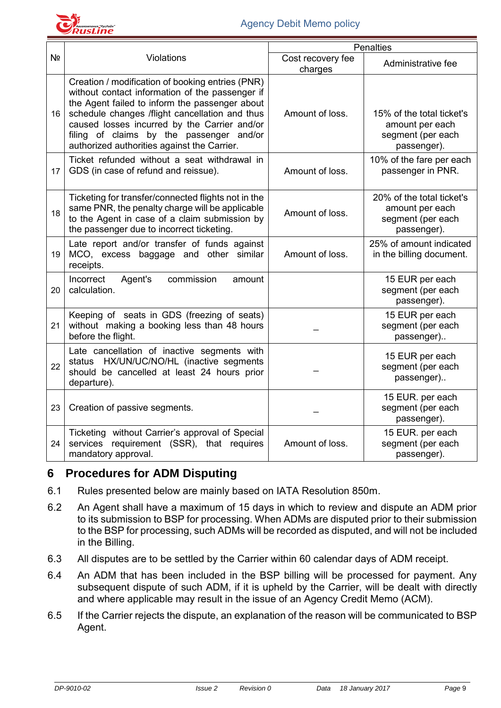

|    |                                                                                                                                                                                                                                                                                                                                                    |                              | <b>Penalties</b>                                                                 |
|----|----------------------------------------------------------------------------------------------------------------------------------------------------------------------------------------------------------------------------------------------------------------------------------------------------------------------------------------------------|------------------------------|----------------------------------------------------------------------------------|
| Nº | Violations                                                                                                                                                                                                                                                                                                                                         | Cost recovery fee<br>charges | Administrative fee                                                               |
| 16 | Creation / modification of booking entries (PNR)<br>without contact information of the passenger if<br>the Agent failed to inform the passenger about<br>schedule changes /flight cancellation and thus<br>caused losses incurred by the Carrier and/or<br>filing of claims by the passenger and/or<br>authorized authorities against the Carrier. | Amount of loss.              | 15% of the total ticket's<br>amount per each<br>segment (per each<br>passenger). |
| 17 | Ticket refunded without a seat withdrawal in<br>GDS (in case of refund and reissue).                                                                                                                                                                                                                                                               | Amount of loss.              | 10% of the fare per each<br>passenger in PNR.                                    |
| 18 | Ticketing for transfer/connected flights not in the<br>same PNR, the penalty charge will be applicable<br>to the Agent in case of a claim submission by<br>the passenger due to incorrect ticketing.                                                                                                                                               | Amount of loss.              | 20% of the total ticket's<br>amount per each<br>segment (per each<br>passenger). |
| 19 | Late report and/or transfer of funds against<br>MCO, excess baggage and other similar<br>receipts.                                                                                                                                                                                                                                                 | Amount of loss.              | 25% of amount indicated<br>in the billing document.                              |
| 20 | Incorrect<br>Agent's<br>commission<br>amount<br>calculation.                                                                                                                                                                                                                                                                                       |                              | 15 EUR per each<br>segment (per each<br>passenger).                              |
| 21 | Keeping of seats in GDS (freezing of seats)<br>without making a booking less than 48 hours<br>before the flight.                                                                                                                                                                                                                                   |                              | 15 EUR per each<br>segment (per each<br>passenger)                               |
| 22 | Late cancellation of inactive segments with<br>status HX/UN/UC/NO/HL (inactive segments<br>should be cancelled at least 24 hours prior<br>departure).                                                                                                                                                                                              |                              | 15 EUR per each<br>segment (per each<br>passenger)                               |
| 23 | Creation of passive segments.                                                                                                                                                                                                                                                                                                                      |                              | 15 EUR. per each<br>segment (per each<br>passenger).                             |
| 24 | Ticketing without Carrier's approval of Special<br>services requirement (SSR), that requires<br>mandatory approval.                                                                                                                                                                                                                                | Amount of loss.              | 15 EUR. per each<br>segment (per each<br>passenger).                             |

### <span id="page-3-0"></span>**6 Procedures for ADM Disputing**

- 6.1 Rules presented below are mainly based on IATA Resolution 850m.
- 6.2 An Agent shall have a maximum of 15 days in which to review and dispute an ADM prior to its submission to BSP for processing. When ADMs are disputed prior to their submission to the BSP for processing, such ADMs will be recorded as disputed, and will not be included in the Billing.
- 6.3 All disputes are to be settled by the Carrier within 60 calendar days of ADM receipt.
- 6.4 An ADM that has been included in the BSP billing will be processed for payment. Any subsequent dispute of such ADM, if it is upheld by the Carrier, will be dealt with directly and where applicable may result in the issue of an Agency Credit Memo (ACM).
- 6.5 If the Carrier rejects the dispute, an explanation of the reason will be communicated to BSP Agent.